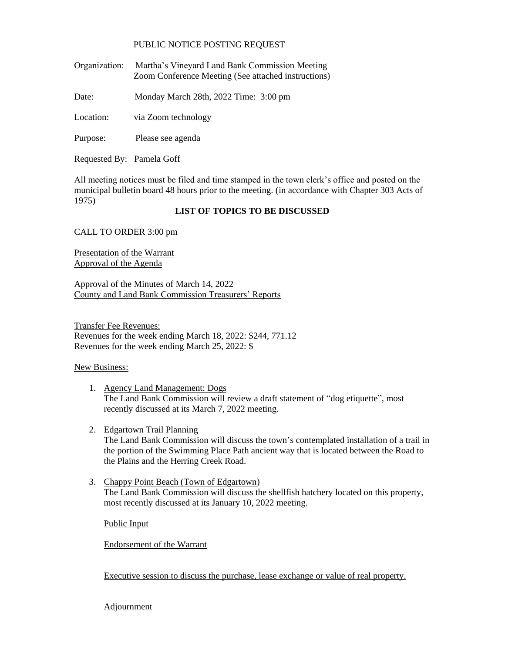## PUBLIC NOTICE POSTING REQUEST

Organization: Martha's Vineyard Land Bank Commission Meeting Zoom Conference Meeting (See attached instructions)

Date: Monday March 28th, 2022 Time: 3:00 pm

Location: via Zoom technology

Purpose: Please see agenda

Requested By: Pamela Goff

All meeting notices must be filed and time stamped in the town clerk's office and posted on the municipal bulletin board 48 hours prior to the meeting. (in accordance with Chapter 303 Acts of 1975)

## **LIST OF TOPICS TO BE DISCUSSED**

CALL TO ORDER 3:00 pm

Presentation of the Warrant Approval of the Agenda

Approval of the Minutes of March 14, 2022 County and Land Bank Commission Treasurers' Reports

Transfer Fee Revenues: Revenues for the week ending March 18, 2022: \$244, 771.12 Revenues for the week ending March 25, 2022: \$

## New Business:

- 1. Agency Land Management: Dogs The Land Bank Commission will review a draft statement of "dog etiquette", most recently discussed at its March 7, 2022 meeting.
- 2. Edgartown Trail Planning

The Land Bank Commission will discuss the town's contemplated installation of a trail in the portion of the Swimming Place Path ancient way that is located between the Road to the Plains and the Herring Creek Road.

3. Chappy Point Beach (Town of Edgartown) The Land Bank Commission will discuss the shellfish hatchery located on this property, most recently discussed at its January 10, 2022 meeting.

Public Input

Endorsement of the Warrant

Executive session to discuss the purchase, lease exchange or value of real property.

**Adjournment**